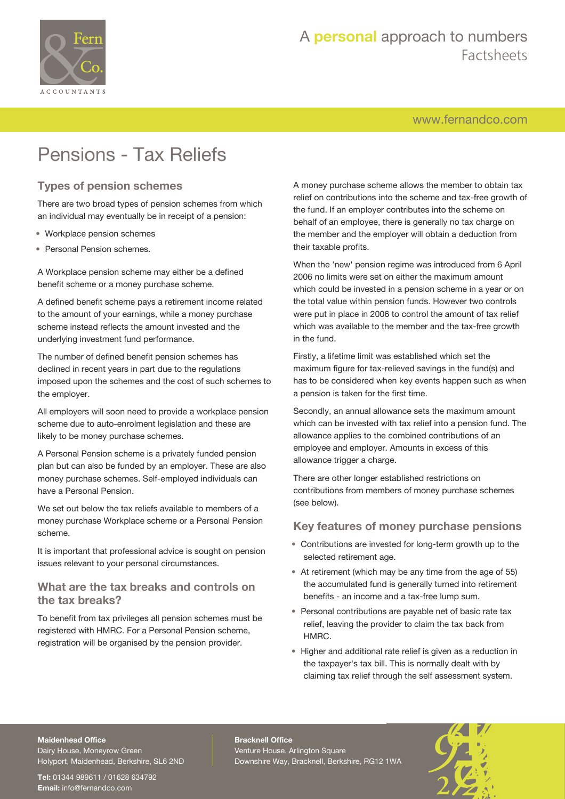

[www.fernandco.com](http://www.fernandco.com)

# Pensions - Tax Reliefs

### **Types of pension schemes**

There are two broad types of pension schemes from which an individual may eventually be in receipt of a pension:

- Workplace pension schemes
- Personal Pension schemes.

A Workplace pension scheme may either be a defined benefit scheme or a money purchase scheme.

A defined benefit scheme pays a retirement income related to the amount of your earnings, while a money purchase scheme instead reflects the amount invested and the underlying investment fund performance.

The number of defined benefit pension schemes has declined in recent years in part due to the regulations imposed upon the schemes and the cost of such schemes to the employer.

All employers will soon need to provide a workplace pension scheme due to auto-enrolment legislation and these are likely to be money purchase schemes.

A Personal Pension scheme is a privately funded pension plan but can also be funded by an employer. These are also money purchase schemes. Self-employed individuals can have a Personal Pension.

We set out below the tax reliefs available to members of a money purchase Workplace scheme or a Personal Pension scheme.

It is important that professional advice is sought on pension issues relevant to your personal circumstances.

#### **What are the tax breaks and controls on the tax breaks?**

To benefit from tax privileges all pension schemes must be registered with HMRC. For a Personal Pension scheme, registration will be organised by the pension provider.

A money purchase scheme allows the member to obtain tax relief on contributions into the scheme and tax-free growth of the fund. If an employer contributes into the scheme on behalf of an employee, there is generally no tax charge on the member and the employer will obtain a deduction from their taxable profits.

When the 'new' pension regime was introduced from 6 April 2006 no limits were set on either the maximum amount which could be invested in a pension scheme in a year or on the total value within pension funds. However two controls were put in place in 2006 to control the amount of tax relief which was available to the member and the tax-free growth in the fund.

Firstly, a lifetime limit was established which set the maximum figure for tax-relieved savings in the fund(s) and has to be considered when key events happen such as when a pension is taken for the first time.

Secondly, an annual allowance sets the maximum amount which can be invested with tax relief into a pension fund. The allowance applies to the combined contributions of an employee and employer. Amounts in excess of this allowance trigger a charge.

There are other longer established restrictions on contributions from members of money purchase schemes (see below).

### **Key features of money purchase pensions**

- Contributions are invested for long-term growth up to the selected retirement age.
- At retirement (which may be any time from the age of 55) the accumulated fund is generally turned into retirement benefits - an income and a tax-free lump sum.
- Personal contributions are payable net of basic rate tax relief, leaving the provider to claim the tax back from HMRC.
- Higher and additional rate relief is given as a reduction in the taxpayer's tax bill. This is normally dealt with by claiming tax relief through the self assessment system.

#### **Maidenhead Office**

Dairy House, Moneyrow Green Holyport, Maidenhead, Berkshire, SL6 2ND

**Tel:** 01344 989611 / 01628 634792 **Email:** [info@fernandco.com](mailto:info@fernandco.com)

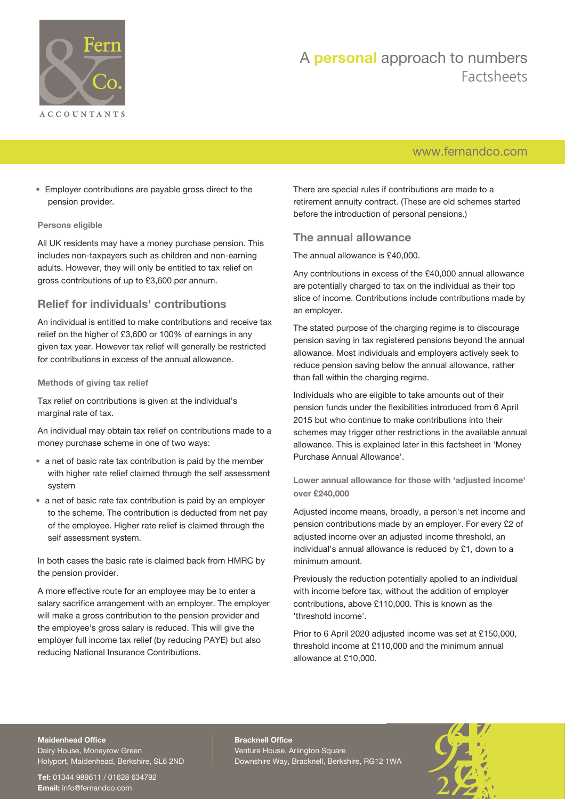

## [www.fernandco.com](http://www.fernandco.com)

• Employer contributions are payable gross direct to the pension provider.

#### **Persons eligible**

All UK residents may have a money purchase pension. This includes non-taxpayers such as children and non-earning adults. However, they will only be entitled to tax relief on gross contributions of up to £3,600 per annum.

### **Relief for individuals' contributions**

An individual is entitled to make contributions and receive tax relief on the higher of £3,600 or 100% of earnings in any given tax year. However tax relief will generally be restricted for contributions in excess of the annual allowance.

#### **Methods of giving tax relief**

Tax relief on contributions is given at the individual's marginal rate of tax.

An individual may obtain tax relief on contributions made to a money purchase scheme in one of two ways:

- a net of basic rate tax contribution is paid by the member with higher rate relief claimed through the self assessment system
- a net of basic rate tax contribution is paid by an employer to the scheme. The contribution is deducted from net pay of the employee. Higher rate relief is claimed through the self assessment system.

In both cases the basic rate is claimed back from HMRC by the pension provider.

A more effective route for an employee may be to enter a salary sacrifice arrangement with an employer. The employer will make a gross contribution to the pension provider and the employee's gross salary is reduced. This will give the employer full income tax relief (by reducing PAYE) but also reducing National Insurance Contributions.

There are special rules if contributions are made to a retirement annuity contract. (These are old schemes started before the introduction of personal pensions.)

#### **The annual allowance**

The annual allowance is £40,000.

Any contributions in excess of the £40,000 annual allowance are potentially charged to tax on the individual as their top slice of income. Contributions include contributions made by an employer.

The stated purpose of the charging regime is to discourage pension saving in tax registered pensions beyond the annual allowance. Most individuals and employers actively seek to reduce pension saving below the annual allowance, rather than fall within the charging regime.

Individuals who are eligible to take amounts out of their pension funds under the flexibilities introduced from 6 April 2015 but who continue to make contributions into their schemes may trigger other restrictions in the available annual allowance. This is explained later in this factsheet in 'Money Purchase Annual Allowance'.

**Lower annual allowance for those with 'adjusted income' over £240,000**

Adjusted income means, broadly, a person's net income and pension contributions made by an employer. For every £2 of adjusted income over an adjusted income threshold, an individual's annual allowance is reduced by £1, down to a minimum amount.

Previously the reduction potentially applied to an individual with income before tax, without the addition of employer contributions, above £110,000. This is known as the 'threshold income'.

Prior to 6 April 2020 adjusted income was set at £150,000, threshold income at £110,000 and the minimum annual allowance at £10,000.

#### **Maidenhead Office**

Dairy House, Moneyrow Green Holyport, Maidenhead, Berkshire, SL6 2ND

**Tel:** 01344 989611 / 01628 634792 **Email:** [info@fernandco.com](mailto:info@fernandco.com)

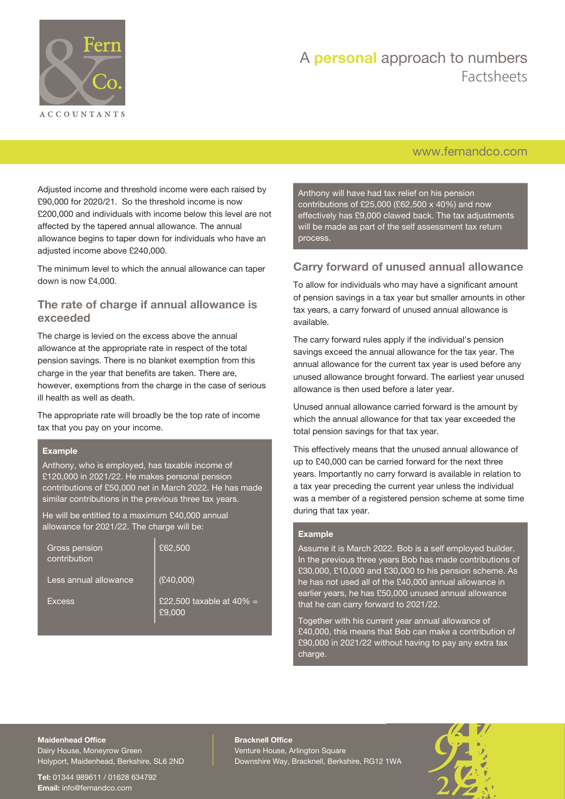

## [www.fernandco.com](http://www.fernandco.com)

Adjusted income and threshold income were each raised by £90,000 for 2020/21. So the threshold income is now £200,000 and individuals with income below this level are not affected by the tapered annual allowance. The annual allowance begins to taper down for individuals who have an adjusted income above £240,000.

The minimum level to which the annual allowance can taper down is now £4,000.

#### **The rate of charge if annual allowance is exceeded**

The charge is levied on the excess above the annual allowance at the appropriate rate in respect of the total pension savings. There is no blanket exemption from this charge in the year that benefits are taken. There are, however, exemptions from the charge in the case of serious ill health as well as death.

The appropriate rate will broadly be the top rate of income tax that you pay on your income.

#### **Example**

Anthony, who is employed, has taxable income of £120,000 in 2021/22. He makes personal pension contributions of £50,000 net in March 2022. He has made similar contributions in the previous three tax years.

He will be entitled to a maximum £40,000 annual allowance for 2021/22. The charge will be:

| Gross pension<br>contribution | £62,500                               |
|-------------------------------|---------------------------------------|
| Less annual allowance         | (£40,000)                             |
| <b>Excess</b>                 | £22,500 taxable at $40\% =$<br>£9,000 |

Anthony will have had tax relief on his pension contributions of £25,000 (£62,500 x 40%) and now effectively has £9,000 clawed back. The tax adjustments will be made as part of the self assessment tax return process.

#### **Carry forward of unused annual allowance**

To allow for individuals who may have a significant amount of pension savings in a tax year but smaller amounts in other tax years, a carry forward of unused annual allowance is available.

The carry forward rules apply if the individual's pension savings exceed the annual allowance for the tax year. The annual allowance for the current tax year is used before any unused allowance brought forward. The earliest year unused allowance is then used before a later year.

Unused annual allowance carried forward is the amount by which the annual allowance for that tax year exceeded the total pension savings for that tax year.

This effectively means that the unused annual allowance of up to £40,000 can be carried forward for the next three years. Importantly no carry forward is available in relation to a tax year preceding the current year unless the individual was a member of a registered pension scheme at some time during that tax year.

#### **Example**

Assume it is March 2022. Bob is a self employed builder. In the previous three years Bob has made contributions of £30,000, £10,000 and £30,000 to his pension scheme. As he has not used all of the £40,000 annual allowance in earlier years, he has £50,000 unused annual allowance that he can carry forward to 2021/22.

Together with his current year annual allowance of £40,000, this means that Bob can make a contribution of £90,000 in 2021/22 without having to pay any extra tax charge.

#### **Maidenhead Office**

Dairy House, Moneyrow Green Holyport, Maidenhead, Berkshire, SL6 2ND

**Tel:** 01344 989611 / 01628 634792 **Email:** [info@fernandco.com](mailto:info@fernandco.com)

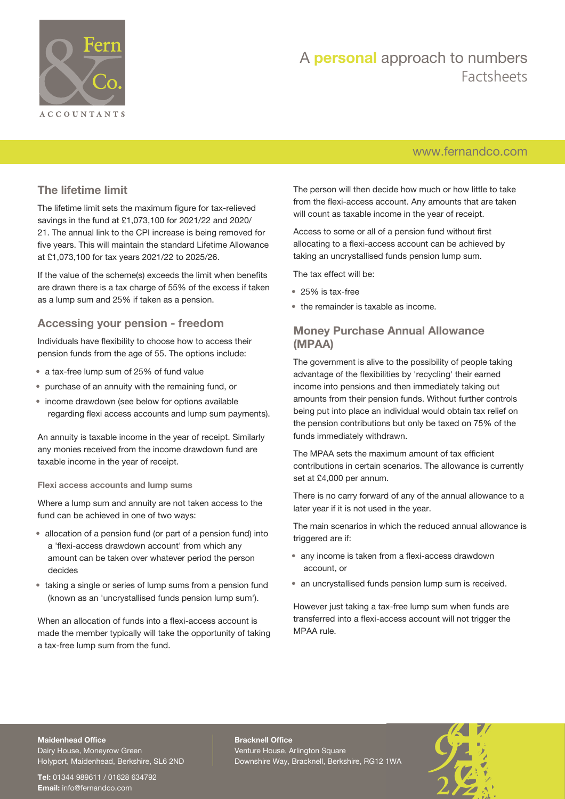

## [www.fernandco.com](http://www.fernandco.com)

### **The lifetime limit**

The lifetime limit sets the maximum figure for tax-relieved savings in the fund at £1,073,100 for 2021/22 and 2020/ 21. The annual link to the CPI increase is being removed for five years. This will maintain the standard Lifetime Allowance at £1,073,100 for tax years 2021/22 to 2025/26.

If the value of the scheme(s) exceeds the limit when benefits are drawn there is a tax charge of 55% of the excess if taken as a lump sum and 25% if taken as a pension.

#### **Accessing your pension - freedom**

Individuals have flexibility to choose how to access their pension funds from the age of 55. The options include:

- a tax-free lump sum of 25% of fund value
- purchase of an annuity with the remaining fund, or
- income drawdown (see below for options available regarding flexi access accounts and lump sum payments).

An annuity is taxable income in the year of receipt. Similarly any monies received from the income drawdown fund are taxable income in the year of receipt.

#### **Flexi access accounts and lump sums**

Where a lump sum and annuity are not taken access to the fund can be achieved in one of two ways:

- allocation of a pension fund (or part of a pension fund) into a 'flexi-access drawdown account' from which any amount can be taken over whatever period the person decides
- taking a single or series of lump sums from a pension fund (known as an 'uncrystallised funds pension lump sum').

When an allocation of funds into a flexi-access account is made the member typically will take the opportunity of taking a tax-free lump sum from the fund.

The person will then decide how much or how little to take from the flexi-access account. Any amounts that are taken will count as taxable income in the year of receipt.

Access to some or all of a pension fund without first allocating to a flexi-access account can be achieved by taking an uncrystallised funds pension lump sum.

The tax effect will be:

- 25% is tax-free
- the remainder is taxable as income.

#### **Money Purchase Annual Allowance (MPAA)**

The government is alive to the possibility of people taking advantage of the flexibilities by 'recycling' their earned income into pensions and then immediately taking out amounts from their pension funds. Without further controls being put into place an individual would obtain tax relief on the pension contributions but only be taxed on 75% of the funds immediately withdrawn.

The MPAA sets the maximum amount of tax efficient contributions in certain scenarios. The allowance is currently set at £4,000 per annum.

There is no carry forward of any of the annual allowance to a later year if it is not used in the year.

The main scenarios in which the reduced annual allowance is triggered are if:

- any income is taken from a flexi-access drawdown account, or
- an uncrystallised funds pension lump sum is received.

However just taking a tax-free lump sum when funds are transferred into a flexi-access account will not trigger the MPAA rule.

### **Maidenhead Office**

Dairy House, Moneyrow Green Holyport, Maidenhead, Berkshire, SL6 2ND

**Tel:** 01344 989611 / 01628 634792 **Email:** [info@fernandco.com](mailto:info@fernandco.com)